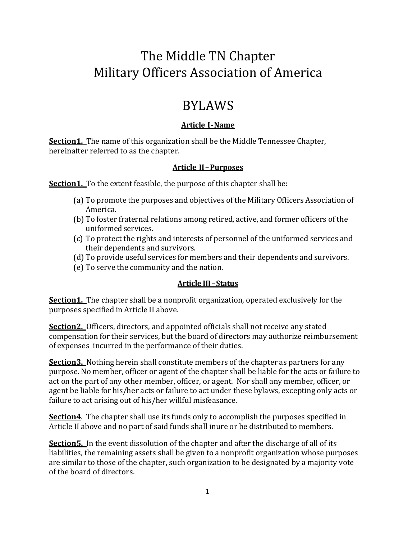# The Middle TN Chapter Military Officers Association of America

# BYLAWS

# **Article I-Name**

**Section1.** The name of this organization shall be the Middle Tennessee Chapter, hereinafter referred to as the chapter.

# **Article II–Purposes**

**Section1.** To the extent feasible, the purpose of this chapter shall be:

- (a) To promote the purposes and objectives of the Military Officers Association of America.
- (b) To foster fraternal relations among retired, active, and former officers of the uniformed services.
- (c) To protect the rights and interests of personnel of the uniformed services and their dependents and survivors.
- (d) To provide useful services for members and their dependents and survivors.
- (e) To serve the community and the nation.

# **Article III–Status**

**Section1.** The chapter shall be a nonprofit organization, operated exclusively for the purposes specified in Article II above.

**Section2.** Officers, directors, and appointed officials shall not receive any stated compensation for their services, but the board of directors may authorize reimbursement of expenses incurred in the performance of their duties.

**Section3.** Nothing herein shall constitute members of the chapter as partners for any purpose. No member, officer or agent of the chapter shall be liable for the acts or failure to act on the part of any other member, officer, or agent. Nor shall any member, officer, or agent be liable for his/her acts or failure to act under these bylaws, excepting only acts or failure to act arising out of his/her willful misfeasance.

**Section4**. The chapter shall use its funds only to accomplish the purposes specified in Article II above and no part of said funds shall inure or be distributed to members.

**Section5.** In the event dissolution of the chapter and after the discharge of all of its liabilities, the remaining assets shall be given to a nonprofit organization whose purposes are similar to those of the chapter, such organization to be designated by a majority vote of the board of directors.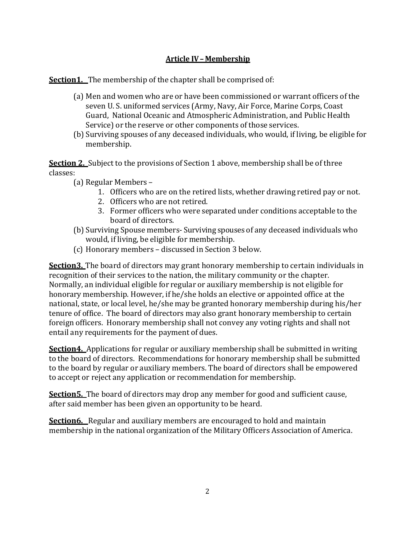## **Article IV– Membership**

**Section1.** The membership of the chapter shall be comprised of:

- (a) Men and women who are or have been commissioned or warrant officers of the seven U. S. uniformed services (Army, Navy, Air Force, Marine Corps, Coast Guard, National Oceanic and Atmospheric Administration, and Public Health Service) or the reserve or other components of those services.
- (b) Surviving spouses of any deceased individuals, who would, if living, be eligible for membership.

**Section 2.** Subject to the provisions of Section 1 above, membership shall be of three classes:

- (a) Regular Members
	- 1. Officers who are on the retired lists, whether drawing retired pay or not.
	- 2. Officers who are not retired.
	- 3. Former officers who were separated under conditions acceptable to the board of directors.
- (b) Surviving Spouse members- Surviving spouses of any deceased individuals who would, if living, be eligible for membership.
- (c) Honorary members discussed in Section 3 below.

**Section3.** The board of directors may grant honorary membership to certain individuals in recognition of their services to the nation, the military community or the chapter. Normally, an individual eligible for regular or auxiliary membership is not eligible for honorary membership. However, if he/she holds an elective or appointed office at the national, state, or local level, he/she may be granted honorary membership during his/her tenure of office. The board of directors may also grant honorary membership to certain foreign officers. Honorary membership shall not convey any voting rights and shall not entail any requirements for the payment of dues.

**Section4.** Applications for regular or auxiliary membership shall be submitted in writing to the board of directors. Recommendations for honorary membership shall be submitted to the board by regular or auxiliary members. The board of directors shall be empowered to accept or reject any application or recommendation for membership.

**Section5.** The board of directors may drop any member for good and sufficient cause, after said member has been given an opportunity to be heard.

**Section6.** Regular and auxiliary members are encouraged to hold and maintain membership in the national organization of the Military Officers Association of America.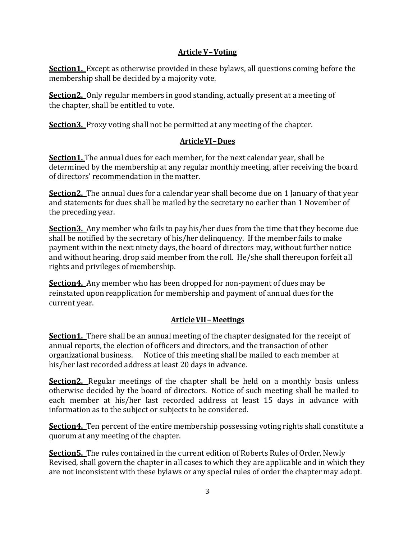## **Article V–Voting**

**Section1.** Except as otherwise provided in these bylaws, all questions coming before the membership shall be decided by a majority vote.

**Section2.** Only regular members in good standing, actually present at a meeting of the chapter, shall be entitled to vote.

**Section3.** Proxy voting shall not be permitted at any meeting of the chapter.

# **ArticleVI–Dues**

Section1. The annual dues for each member, for the next calendar vear, shall be determined by the membership at any regular monthly meeting, after receiving the board of directors' recommendation in the matter.

**Section2.** The annual dues for a calendar year shall become due on 1 January of that year and statements for dues shall be mailed by the secretary no earlier than 1 November of the preceding year.

**Section3.** Any member who fails to pay his/her dues from the time that they become due shall be notified by the secretary of his/her delinquency. If the member fails to make payment within the next ninety days, the board of directors may, without further notice and without hearing, drop said member from the roll. He/she shall thereupon forfeit all rights and privileges of membership.

**Section4.** Any member who has been dropped for non-payment of dues may be reinstated upon reapplication for membership and payment of annual dues for the current year.

# **ArticleVII – Meetings**

**Section1.** There shall be an annual meeting of the chapter designated for the receipt of annual reports, the election of officers and directors, and the transaction of other organizational business. Notice of this meeting shall be mailed to each member at his/her last recorded address at least 20 days in advance.

**Section2.** Regular meetings of the chapter shall be held on a monthly basis unless otherwise decided by the board of directors. Notice of such meeting shall be mailed to each member at his/her last recorded address at least 15 days in advance with information as to the subject or subjects to be considered.

**Section4.** Ten percent of the entire membership possessing voting rights shall constitute a quorum at any meeting of the chapter.

**Section5.** The rules contained in the current edition of Roberts Rules of Order, Newly Revised, shall govern the chapter in all cases to which they are applicable and in which they are not inconsistent with these bylaws or any special rules of order the chapter may adopt.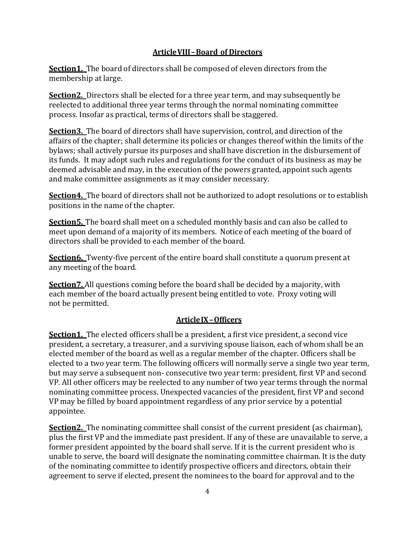## **ArticleVIII–Board of Directors**

**Section1.** The board of directors shall be composed of eleven directors from the membership at large.

**Section2.** Directors shall be elected for a three year term, and may subsequently be reelected to additional three year terms through the normal nominating committee process. Insofar as practical, terms of directors shall be staggered.

**Section3.** The board of directors shall have supervision, control, and direction of the affairs of the chapter; shall determine its policies or changes thereof within the limits of the bylaws; shall actively pursue its purposes and shall have discretion in the disbursement of its funds. It may adopt such rules and regulations for the conduct of its business as may be deemed advisable and may, in the execution of the powers granted, appoint such agents and make committee assignments as it may consider necessary.

**Section4.** The board of directors shall not be authorized to adopt resolutions or to establish positions in the name of the chapter.

**Section5.** The board shall meet on a scheduled monthly basis and can also be called to meet upon demand of a majority of its members. Notice of each meeting of the board of directors shall be provided to each member of the board.

**Section6.** Twenty-five percent of the entire board shall constitute a quorum present at any meeting of the board.

**Section7.** All questions coming before the board shall be decided by a majority, with each member of the board actually present being entitled to vote. Proxy voting will not be permitted.

## **ArticleIX–Officers**

**Section1.** The elected officers shall be a president, a first vice president, a second vice president, a secretary, a treasurer, and a surviving spouse liaison, each of whom shall be an elected member of the board as well as a regular member of the chapter. Officers shall be elected to a two year term. The following officers will normally serve a single two year term, but may serve a subsequent non- consecutive two year term: president, first VP and second VP. All other officers may be reelected to any number of two year terms through the normal nominating committee process. Unexpected vacancies of the president, first VP and second VP may be filled by board appointment regardless of any prior service by a potential appointee.

**Section2.** The nominating committee shall consist of the current president (as chairman), plus the first VP and the immediate past president. If any of these are unavailable to serve, a former president appointed by the board shall serve. If it is the current president who is unable to serve, the board will designate the nominating committee chairman. It is the duty of the nominating committee to identify prospective officers and directors, obtain their agreement to serve if elected, present the nominees to the board for approval and to the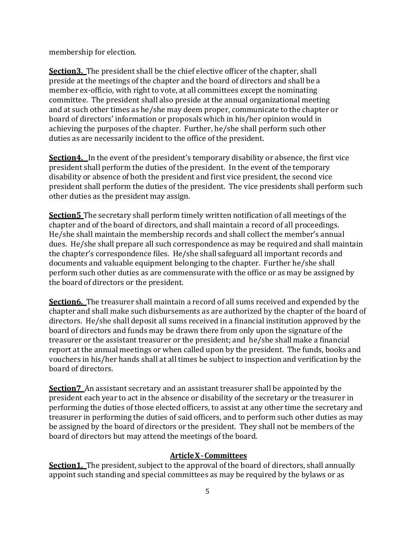membership for election.

**Section3.** The president shall be the chief elective officer of the chapter, shall preside at the meetings of the chapter and the board of directors and shall be a member ex-officio, with right to vote, at all committees except the nominating committee. The president shall also preside at the annual organizational meeting and at such other times as he/she may deem proper, communicate to the chapter or board of directors' information or proposals which in his/her opinion would in achieving the purposes of the chapter. Further, he/she shall perform such other duties as are necessarily incident to the office of the president.

**Section4.** In the event of the president's temporary disability or absence, the first vice president shall perform the duties of the president. In the event of the temporary disability or absence of both the president and first vice president, the second vice president shall perform the duties of the president. The vice presidents shall perform such other duties as the president may assign.

**Section5** The secretary shall perform timely written notification of all meetings of the chapter and of the board of directors, and shall maintain a record of all proceedings. He/she shall maintain the membership records and shall collect the member's annual dues. He/she shall prepare all such correspondence as may be required and shall maintain the chapter's correspondence files. He/she shall safeguard all important records and documents and valuable equipment belonging to the chapter. Further he/she shall perform such other duties as are commensurate with the office or as may be assigned by the board of directors or the president.

**Section6.** The treasurer shall maintain a record of all sums received and expended by the chapter and shall make such disbursements as are authorized by the chapter of the board of directors. He/she shall deposit all sums received in a financial institution approved by the board of directors and funds may be drawn there from only upon the signature of the treasurer or the assistant treasurer or the president; and he/she shall make a financial report at the annual meetings or when called upon by the president. The funds, books and vouchers in his/her hands shall at all times be subject to inspection and verification by the board of directors.

**Section7** An assistant secretary and an assistant treasurer shall be appointed by the president each year to act in the absence or disability of the secretary or the treasurer in performing the duties of those elected officers, to assist at any other time the secretary and treasurer in performing the duties of said officers, and to perform such other duties as may be assigned by the board of directors or the president. They shall not be members of the board of directors but may attend the meetings of the board.

### **ArticleX-Committees**

**Section1.** The president, subject to the approval of the board of directors, shall annually appoint such standing and special committees as may be required by the bylaws or as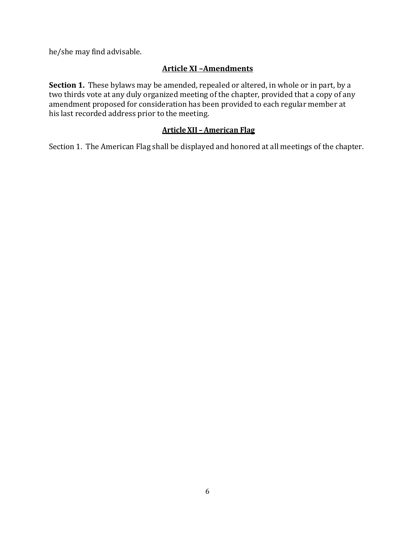he/she may find advisable.

# **Article XI –Amendments**

**Section 1.** These bylaws may be amended, repealed or altered, in whole or in part, by a two thirds vote at any duly organized meeting of the chapter, provided that a copy of any amendment proposed for consideration has been provided to each regular member at his last recorded address prior to the meeting.

## **ArticleXII – American Flag**

Section 1. The American Flag shall be displayed and honored at all meetings of the chapter.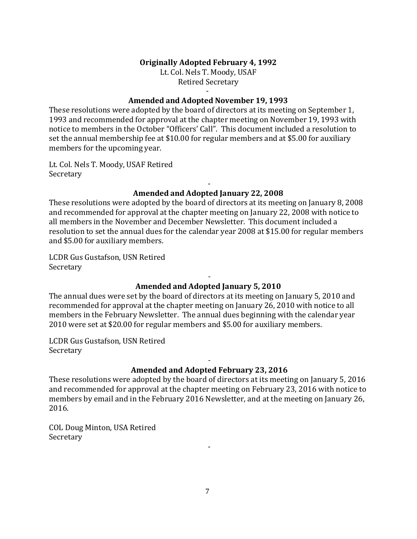#### **Originally Adopted February 4, 1992**

Lt. Col. Nels T. Moody, USAF Retired Secretary

#### - **Amended and Adopted November 19, 1993**

These resolutions were adopted by the board of directors at its meeting on September 1, 1993 and recommended for approval at the chapter meeting on November 19, 1993 with notice to members in the October "Officers' Call". This document included a resolution to set the annual membership fee at \$10.00 for regular members and at \$5.00 for auxiliary members for the upcoming year.

Lt. Col. Nels T. Moody, USAF Retired Secretary

### - **Amended and Adopted January 22, 2008**

These resolutions were adopted by the board of directors at its meeting on January 8, 2008 and recommended for approval at the chapter meeting on January 22, 2008 with notice to all members in the November and December Newsletter. This document included a resolution to set the annual dues for the calendar year 2008 at \$15.00 for regular members and \$5.00 for auxiliary members.

LCDR Gus Gustafson, USN Retired Secretary

### - **Amended and Adopted January 5, 2010**

The annual dues were set by the board of directors at its meeting on January 5, 2010 and recommended for approval at the chapter meeting on January 26, 2010 with notice to all members in the February Newsletter. The annual dues beginning with the calendar year 2010 were set at \$20.00 for regular members and \$5.00 for auxiliary members.

LCDR Gus Gustafson, USN Retired Secretary

### - **Amended and Adopted February 23, 2016**

These resolutions were adopted by the board of directors at its meeting on January 5, 2016 and recommended for approval at the chapter meeting on February 23, 2016 with notice to members by email and in the February 2016 Newsletter, and at the meeting on January 26, 2016.

COL Doug Minton, USA Retired Secretary

7

-